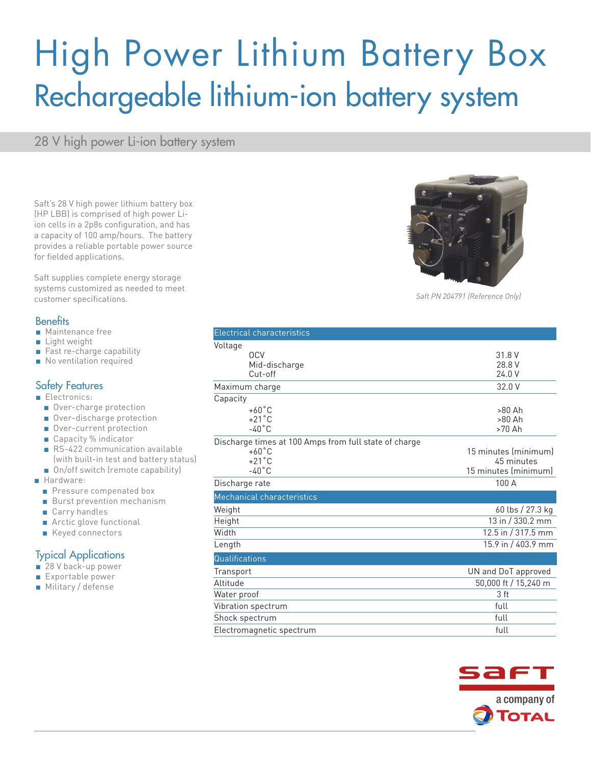# High Power Lithium Battery Box Rechargeable lithium-ion battery system

28 V high power Li-ion battery system

Saft's 28 V high power lithium battery box (HP LBB) is comprised of high power Liion cells in a 2p8s configuration, and has a capacity of 100 amp/hours. The battery provides a reliable portable power source for fielded applications.

Saft supplies complete energy storage systems customized as needed to meet customer specifications.

#### **Benefits**

- Maintenance free
- Light weight
- Fast re-charge capability
- No ventilation required

#### Safety Features

- Electronics:
	- Over-charge protection
	- Over-discharge protection
	- Over-current protection
	- Capacity % indicator
	- RS-422 communication available (with built-in test and battery status)
	- On/off switch (remote capability)
- Hardware:
	- Pressure compenated box
	- Burst prevention mechanism
	- Carry handles
	- Arctic glove functional
	- Keyed connectors

### Typical Applications

- 28 V back-up power
- Exportable power
- Military / defense







*Saft PN 204791 (Reference Only)*